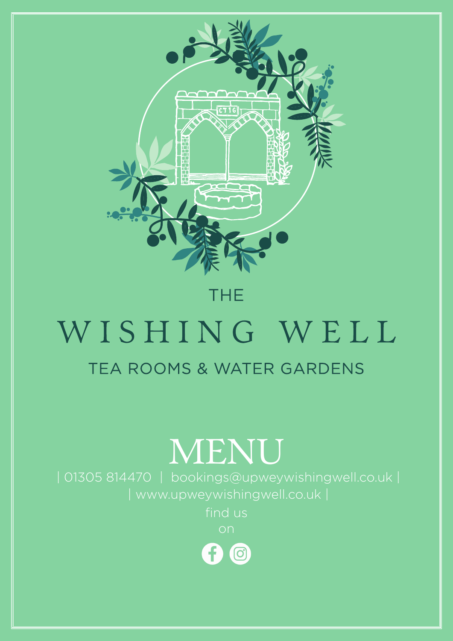

## **THE**

# WISHING WELL TEA ROOMS & WATER GARDENS

| www.upweywishingwell.co.uk | find us on 0  $\bigcirc$ 

## | 01305 814470 | bookings@upweywishingwell.co.uk | MENU